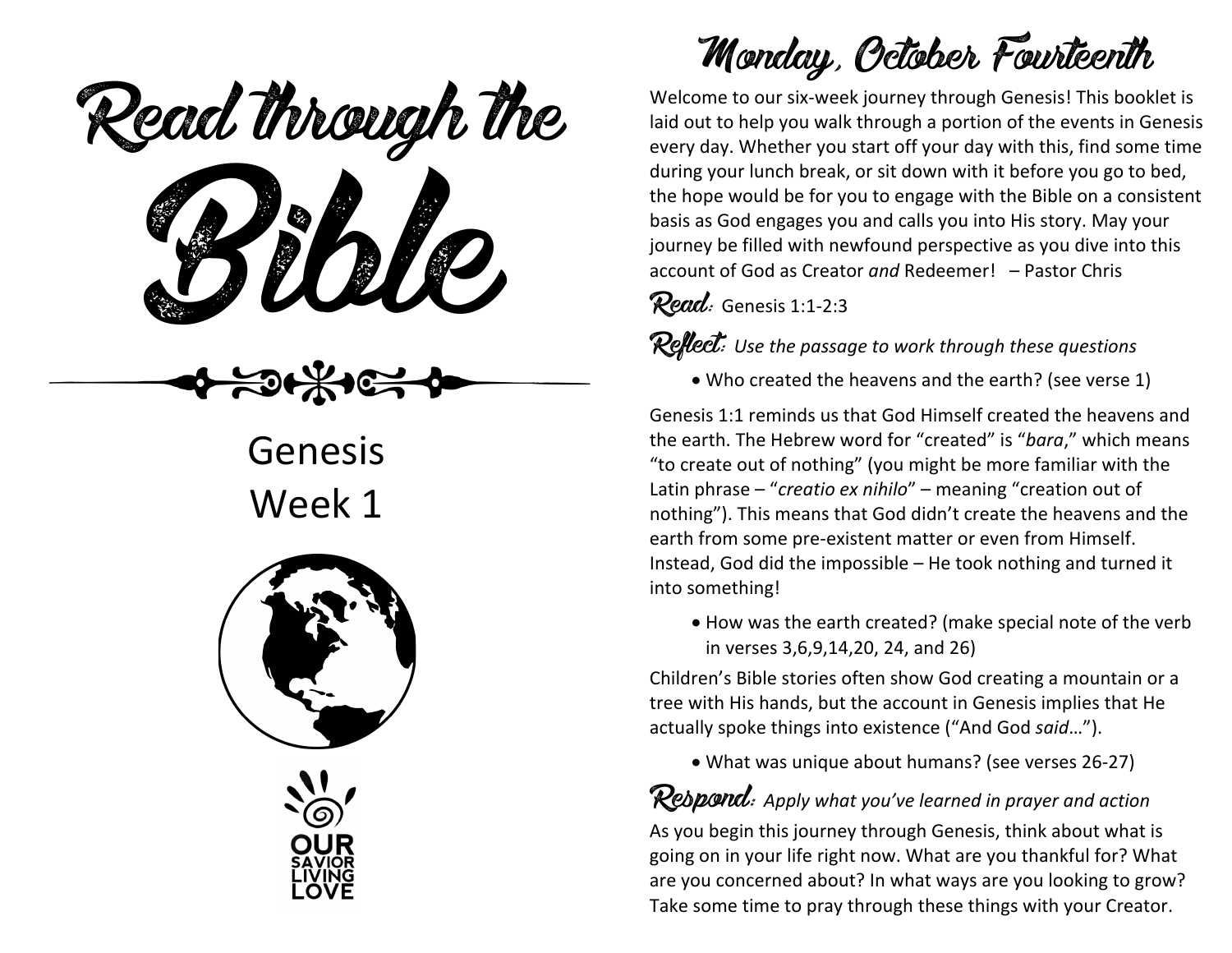ead mough is Read through the

Genesis Week 1





## Monday, October Fourteenth

Welcome to our six-week journey through Genesis! This booklet is laid out to help you walk through a portion of the events in Genesis every day. Whether you start off your day with this, find some time during your lunch break, or sit down with it before you go to bed, the hope would be for you to engage with the Bible on a consistent basis as God engages you and calls you into His story. May your journey be filled with newfound perspective as you dive into this account of God as Creator *and* Redeemer! – Pastor Chris

Read: Genesis 1:1-2:3

Reflect: *Use the passage to work through these questions*

• Who created the heavens and the earth? (see verse 1)

Genesis 1:1 reminds us that God Himself created the heavens and the earth. The Hebrew word for "created" is "*bara*," which means "to create out of nothing" (you might be more familiar with the Latin phrase – "*creatio ex nihilo*" – meaning "creation out of nothing"). This means that God didn't create the heavens and the earth from some pre-existent matter or even from Himself. Instead, God did the impossible – He took nothing and turned it into something!

• How was the earth created? (make special note of the verb in verses 3,6,9,14,20, 24, and 26)

Children's Bible stories often show God creating a mountain or a tree with His hands, but the account in Genesis implies that He actually spoke things into existence ("And God *said*…").

• What was unique about humans? (see verses 26-27)

#### Respond: *Apply what you've learned in prayer and action*

As you begin this journey through Genesis, think about what is going on in your life right now. What are you thankful for? What are you concerned about? In what ways are you looking to grow? Take some time to pray through these things with your Creator.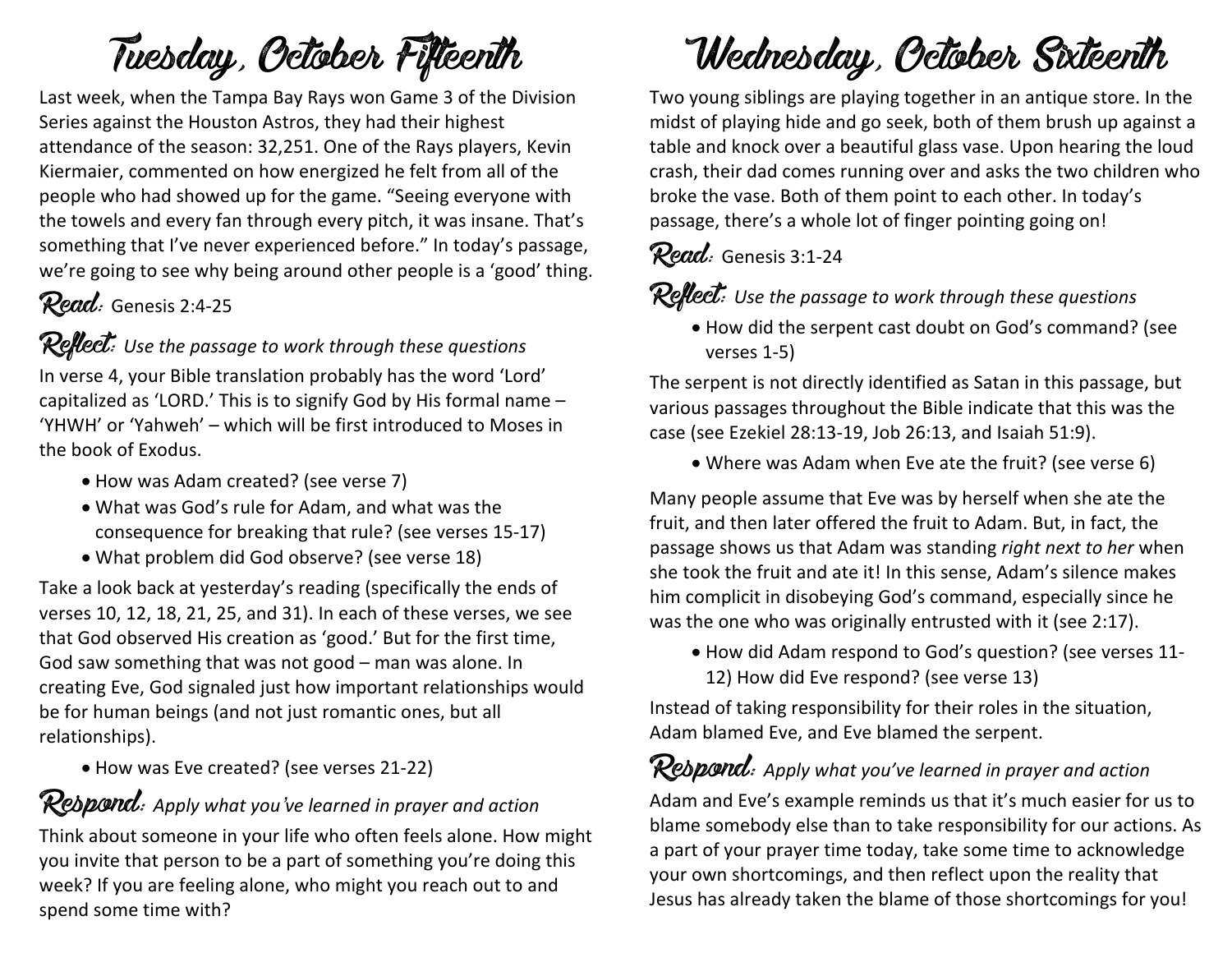# Tuesday, October Fifteenth

Last week, when the Tampa Bay Rays won Game 3 of the Division Series against the Houston Astros, they had their highest attendance of the season: 32,251. One of the Rays players, Kevin Kiermaier, commented on how energized he felt from all of the people who had showed up for the game. "Seeing everyone with the towels and every fan through every pitch, it was insane. That's something that I've never experienced before." In today's passage, we're going to see why being around other people is a 'good' thing.

### Read: Genesis 2:4-25

#### Reflect: Use the passage to work through these questions

In verse 4, your Bible translation probably has the word 'Lord' capitalized as 'LORD.' This is to signify God by His formal name – 'YHWH' or 'Yahweh' – which will be first introduced to Moses in the book of Exodus.

- How was Adam created? (see verse 7)
- What was God's rule for Adam, and what was the consequence for breaking that rule? (see verses 15-17)
- What problem did God observe? (see verse 18)

Take a look back at yesterday's reading (specifically the ends of verses 10, 12, 18, 21, 25, and 31). In each of these verses, we see that God observed His creation as 'good.' But for the first time, God saw something that was not good – man was alone. In creating Eve, God signaled just how important relationships would be for human beings (and not just romantic ones, but all relationships).

• How was Eve created? (see verses 21-22)

#### Respond: *Apply what you've learned in prayer and action*

Think about someone in your life who often feels alone. How might you invite that person to be a part of something you're doing this week? If you are feeling alone, who might you reach out to and spend some time with?

## Wednesday, October Sixteenth

Two young siblings are playing together in an antique store. In the midst of playing hide and go seek, both of them brush up against a table and knock over a beautiful glass vase. Upon hearing the loud crash, their dad comes running over and asks the two children who broke the vase. Both of them point to each other. In today's passage, there's a whole lot of finger pointing going on!

#### Read: Genesis 3:1-24

Reflect: Use the passage to work through these questions

• How did the serpent cast doubt on God's command? (see verses 1-5)

The serpent is not directly identified as Satan in this passage, but various passages throughout the Bible indicate that this was the case (see Ezekiel 28:13-19, Job 26:13, and Isaiah 51:9).

• Where was Adam when Eve ate the fruit? (see verse 6)

Many people assume that Eve was by herself when she ate the fruit, and then later offered the fruit to Adam. But, in fact, the passage shows us that Adam was standing *right next to her* when she took the fruit and ate it! In this sense, Adam's silence makes him complicit in disobeying God's command, especially since he was the one who was originally entrusted with it (see 2:17).

• How did Adam respond to God's question? (see verses 11- 12) How did Eve respond? (see verse 13)

Instead of taking responsibility for their roles in the situation, Adam blamed Eve, and Eve blamed the serpent.

#### Rebpond: Apply what you've learned in prayer and action

Adam and Eve's example reminds us that it's much easier for us to blame somebody else than to take responsibility for our actions. As a part of your prayer time today, take some time to acknowledge your own shortcomings, and then reflect upon the reality that Jesus has already taken the blame of those shortcomings for you!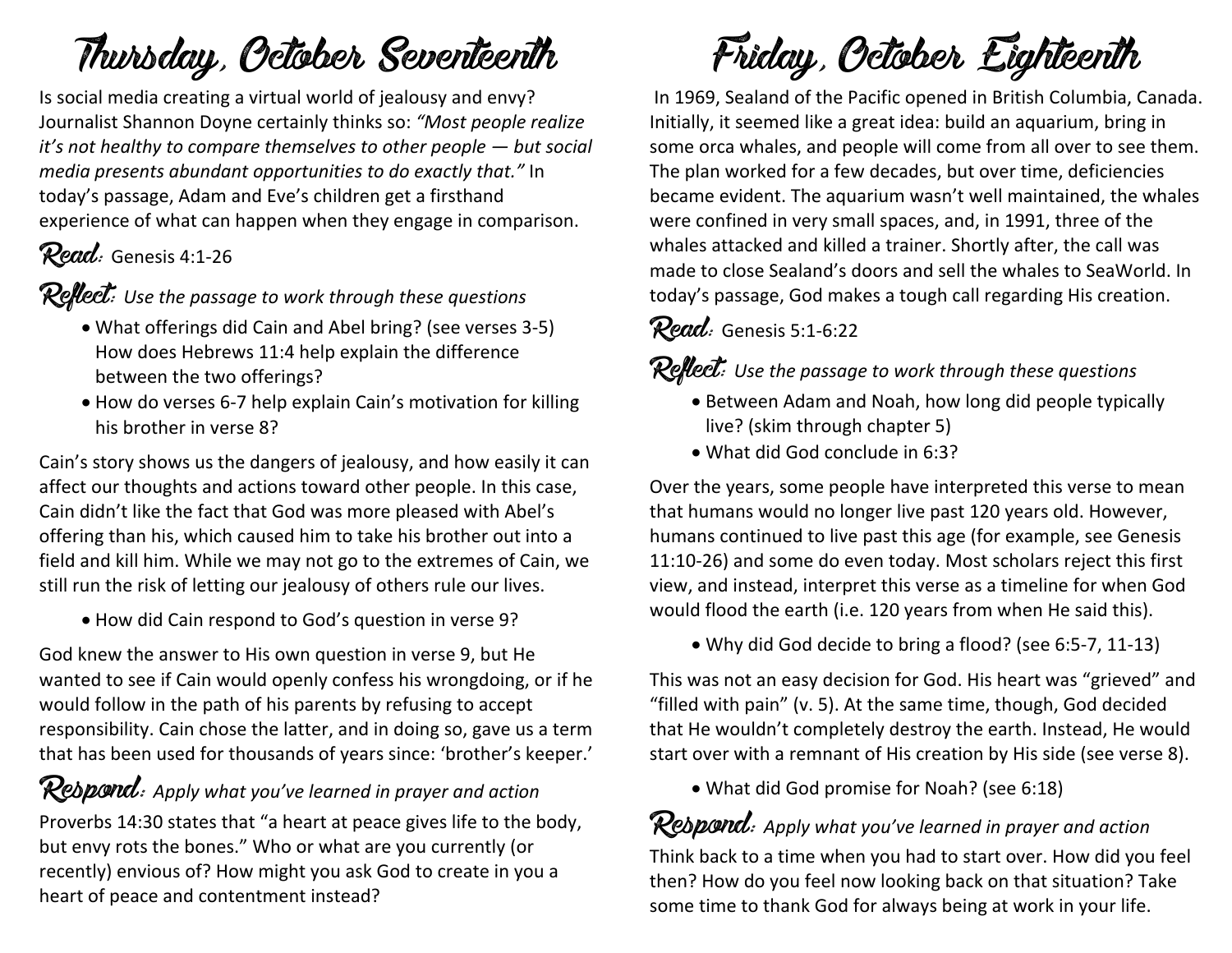## Thursday, October Seventeenth

Is social media creating a virtual world of jealousy and envy? Journalist Shannon Doyne certainly thinks so: *"Most people realize it's not healthy to compare themselves to other people — but social media presents abundant opportunities to do exactly that."* In today's passage, Adam and Eve's children get a firsthand experience of what can happen when they engage in comparison.

### Read: Genesis 4:1-26

Reflect: *Use the passage to work through these questions*

- What offerings did Cain and Abel bring? (see verses 3-5) How does Hebrews 11:4 help explain the difference between the two offerings?
- How do verses 6-7 help explain Cain's motivation for killing his brother in verse 8?

Cain's story shows us the dangers of jealousy, and how easily it can affect our thoughts and actions toward other people. In this case, Cain didn't like the fact that God was more pleased with Abel's offering than his, which caused him to take his brother out into a field and kill him. While we may not go to the extremes of Cain, we still run the risk of letting our jealousy of others rule our lives.

• How did Cain respond to God's question in verse 9?

God knew the answer to His own question in verse 9, but He wanted to see if Cain would openly confess his wrongdoing, or if he would follow in the path of his parents by refusing to accept responsibility. Cain chose the latter, and in doing so, gave us a term that has been used for thousands of years since: 'brother's keeper.'

Respond: *Apply what you've learned in prayer and action* Proverbs 14:30 states that "a heart at peace gives life to the body, but envy rots the bones." Who or what are you currently (or recently) envious of? How might you ask God to create in you a heart of peace and contentment instead?

Friday, October Eighteenth

In 1969, Sealand of the Pacific opened in British Columbia, Canada. Initially, it seemed like a great idea: build an aquarium, bring in some orca whales, and people will come from all over to see them. The plan worked for a few decades, but over time, deficiencies became evident. The aquarium wasn't well maintained, the whales were confined in very small spaces, and, in 1991, three of the whales attacked and killed a trainer. Shortly after, the call was made to close Sealand's doors and sell the whales to SeaWorld. In today's passage, God makes a tough call regarding His creation.

#### Read: Genesis 5:1-6:22

#### Reflect: *Use the passage to work through these questions*

- Between Adam and Noah, how long did people typically live? (skim through chapter 5)
- What did God conclude in 6:3?

Over the years, some people have interpreted this verse to mean that humans would no longer live past 120 years old. However, humans continued to live past this age (for example, see Genesis 11:10-26) and some do even today. Most scholars reject this first view, and instead, interpret this verse as a timeline for when God would flood the earth (i.e. 120 years from when He said this).

• Why did God decide to bring a flood? (see 6:5-7, 11-13)

This was not an easy decision for God. His heart was "grieved" and "filled with pain" (v. 5). At the same time, though, God decided that He wouldn't completely destroy the earth. Instead, He would start over with a remnant of His creation by His side (see verse 8).

• What did God promise for Noah? (see 6:18)

### Rebpond: Apply what you've learned in prayer and action

Think back to a time when you had to start over. How did you feel then? How do you feel now looking back on that situation? Take some time to thank God for always being at work in your life.